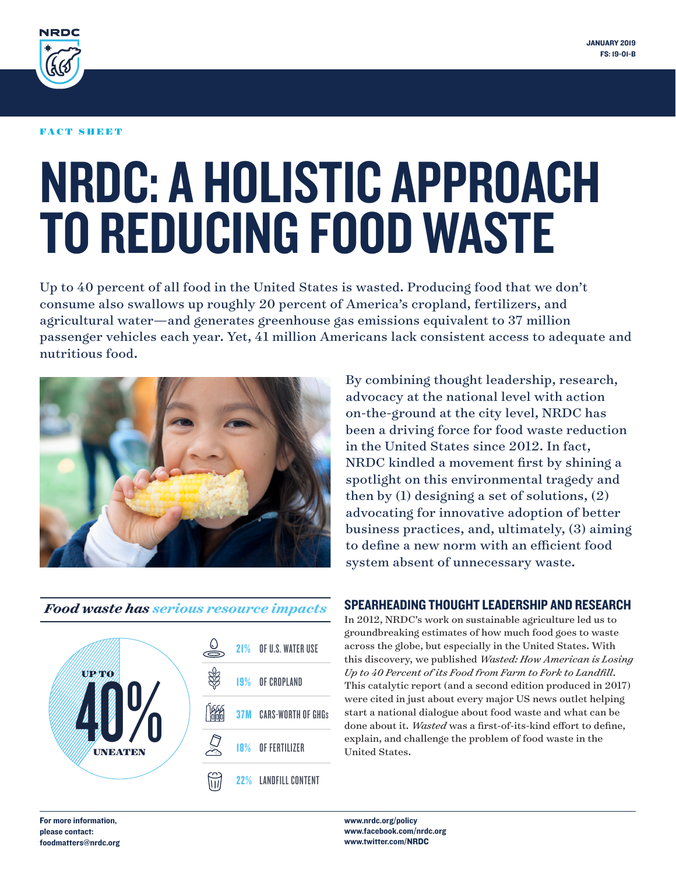

#### FACT SHEET

# NRDC: A HOLISTIC APPROACH TO REDUCING FOOD WASTE

Up to 40 percent of all food in the United States is wasted. Producing food that we don't consume also swallows up roughly 20 percent of America's cropland, fertilizers, and agricultural water—and generates greenhouse gas emissions equivalent to 37 million passenger vehicles each year. Yet, 41 million Americans lack consistent access to adequate and nutritious food.



### *Food waste has serious resource impacts*



By combining thought leadership, research, advocacy at the national level with action on-the-ground at the city level, NRDC has been a driving force for food waste reduction in the United States since 2012. In fact, NRDC kindled a movement first by shining a spotlight on this environmental tragedy and then by (1) designing a set of solutions, (2) advocating for innovative adoption of better business practices, and, ultimately, (3) aiming to define a new norm with an efficient food system absent of unnecessary waste.

## SPEARHEADING THOUGHT LEADERSHIP AND RESEARCH

In 2012, NRDC's work on sustainable agriculture led us to groundbreaking estimates of how much food goes to waste across the globe, but especially in the United States. With this discovery, we published *Wasted: How American is Losing Up to 40 Percent of its Food from Farm to Fork to Landfill*. This catalytic report (and a second edition produced in 2017) were cited in just about every major US news outlet helping start a national dialogue about food waste and what can be done about it. *Wasted* was a first-of-its-kind effort to define, explain, and challenge the problem of food waste in the United States.

For more information, please contact: foodmatters@nrdc.org

www.nrdc.org/policy www.facebook.com/nrdc.org www.twitter.com/NRDC